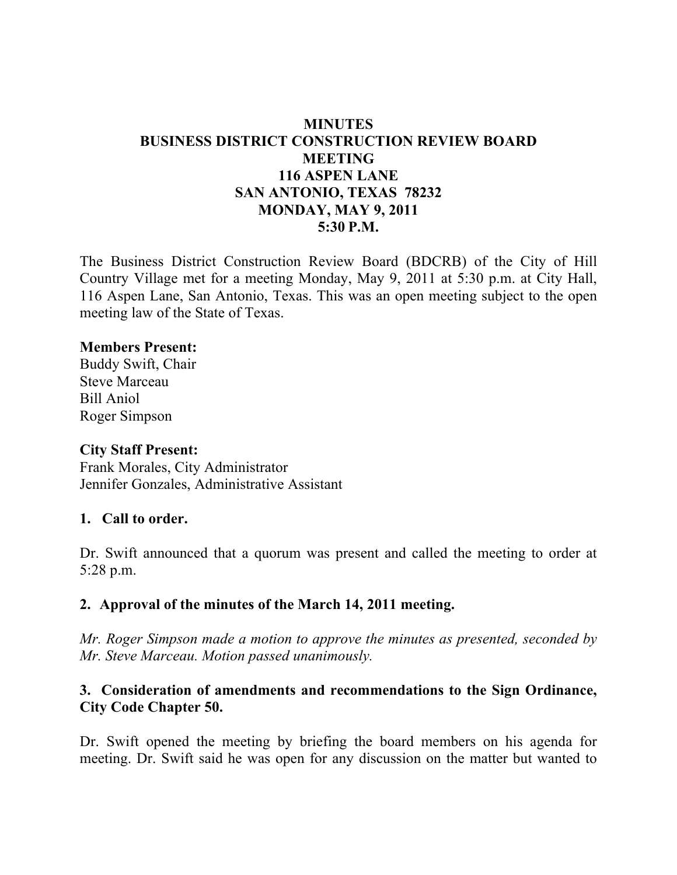# **MINUTES BUSINESS DISTRICT CONSTRUCTION REVIEW BOARD MEETING 116 ASPEN LANE SAN ANTONIO, TEXAS 78232 MONDAY, MAY 9, 2011 5:30 P.M.**

The Business District Construction Review Board (BDCRB) of the City of Hill Country Village met for a meeting Monday, May 9, 2011 at 5:30 p.m. at City Hall, 116 Aspen Lane, San Antonio, Texas. This was an open meeting subject to the open meeting law of the State of Texas.

#### **Members Present:**

Buddy Swift, Chair Steve Marceau Bill Aniol Roger Simpson

#### **City Staff Present:**

Frank Morales, City Administrator Jennifer Gonzales, Administrative Assistant

### **1. Call to order.**

Dr. Swift announced that a quorum was present and called the meeting to order at 5:28 p.m.

### **2. Approval of the minutes of the March 14, 2011 meeting.**

*Mr. Roger Simpson made a motion to approve the minutes as presented, seconded by Mr. Steve Marceau. Motion passed unanimously.*

### **3. Consideration of amendments and recommendations to the Sign Ordinance, City Code Chapter 50.**

Dr. Swift opened the meeting by briefing the board members on his agenda for meeting. Dr. Swift said he was open for any discussion on the matter but wanted to